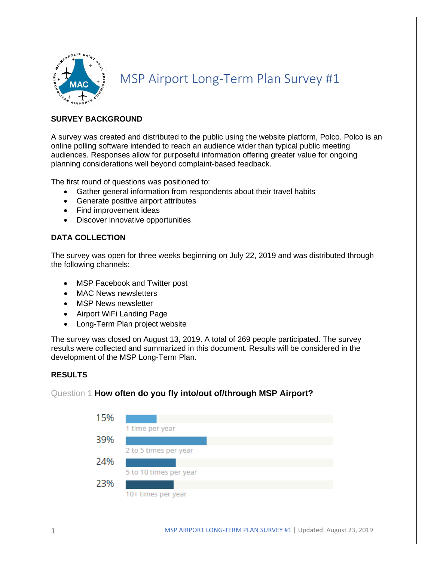

# MSP Airport Long-Term Plan Survey #1

### **SURVEY BACKGROUND**

A survey was created and distributed to the public using the website platform, Polco. Polco is an online polling software intended to reach an audience wider than typical public meeting audiences. Responses allow for purposeful information offering greater value for ongoing planning considerations well beyond complaint-based feedback.

The first round of questions was positioned to:

- Gather general information from respondents about their travel habits
- Generate positive airport attributes
- Find improvement ideas
- Discover innovative opportunities

### **DATA COLLECTION**

The survey was open for three weeks beginning on July 22, 2019 and was distributed through the following channels:

- MSP Facebook and Twitter post
- MAC News newsletters
- MSP News newsletter
- Airport WiFi Landing Page
- Long-Term Plan project website

The survey was closed on August 13, 2019. A total of 269 people participated. The survey results were collected and summarized in this document. Results will be considered in the development of the MSP Long-Term Plan.

### **RESULTS**

### Question 1 **How often do you fly into/out of/through MSP Airport?**

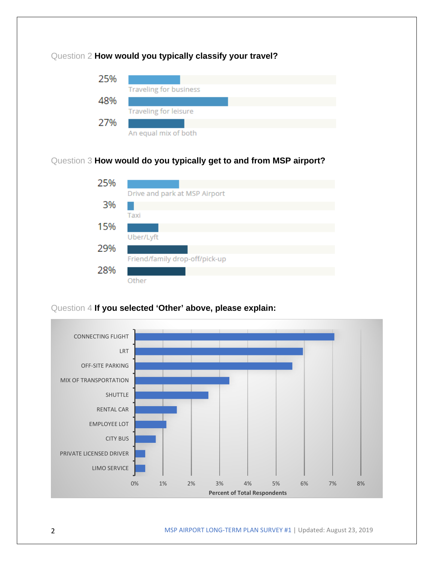

## Question 3 **How would do you typically get to and from MSP airport?**



# Question 4 **If you selected 'Other' above, please explain:**

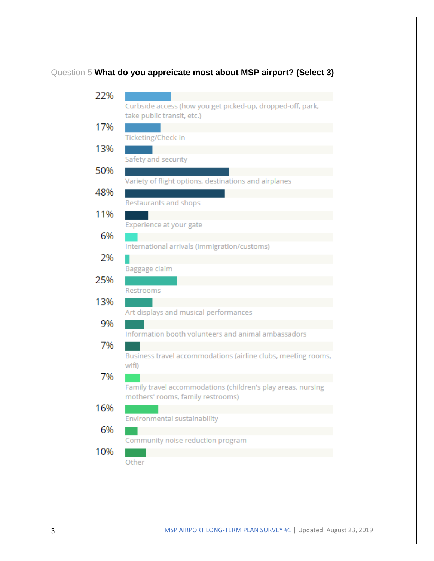# Question 5 **What do you appreicate most about MSP airport? (Select 3)**

| 22% |                                                                        |
|-----|------------------------------------------------------------------------|
|     | Curbside access (how you get picked-up, dropped-off, park,             |
|     | take public transit, etc.)                                             |
| 17% |                                                                        |
| 13% | Ticketing/Check-in                                                     |
|     | Safety and security                                                    |
| 50% |                                                                        |
|     | Variety of flight options, destinations and airplanes                  |
| 48% |                                                                        |
|     | Restaurants and shops                                                  |
| 11% |                                                                        |
|     | Experience at your gate                                                |
| 6%  |                                                                        |
| 2%  | International arrivals (immigration/customs)                           |
|     | Baggage claim                                                          |
| 25% |                                                                        |
|     | Restrooms                                                              |
| 13% |                                                                        |
|     | Art displays and musical performances                                  |
| 9%  |                                                                        |
|     | Information booth volunteers and animal ambassadors                    |
| 7%  |                                                                        |
|     | Business travel accommodations (airline clubs, meeting rooms,<br>wifi) |
| 7%  |                                                                        |
|     | Family travel accommodations (children's play areas, nursing           |
|     | mothers' rooms, family restrooms)                                      |
| 16% |                                                                        |
|     | Environmental sustainability                                           |
| 6%  |                                                                        |
| 10% | Community noise reduction program                                      |
|     | Other                                                                  |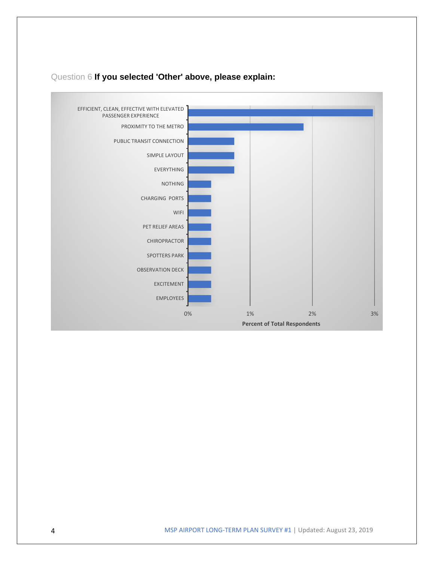

## Question 6 **If you selected 'Other' above, please explain:**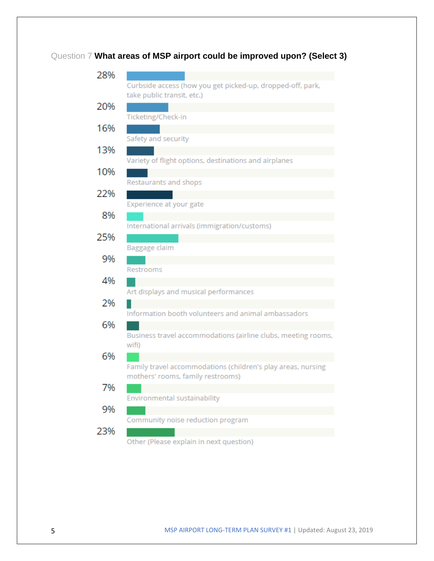# Question 7 **What areas of MSP airport could be improved upon? (Select 3)**

| 28% |                                                                                                   |
|-----|---------------------------------------------------------------------------------------------------|
|     | Curbside access (how you get picked-up, dropped-off, park,                                        |
|     | take public transit, etc.)                                                                        |
| 20% |                                                                                                   |
|     | Ticketing/Check-in                                                                                |
| 16% |                                                                                                   |
|     | Safety and security                                                                               |
| 13% |                                                                                                   |
|     | Variety of flight options, destinations and airplanes                                             |
| 10% |                                                                                                   |
|     | Restaurants and shops                                                                             |
| 22% | Experience at your gate                                                                           |
| 8%  |                                                                                                   |
|     | International arrivals (immigration/customs)                                                      |
| 25% |                                                                                                   |
|     | Baggage claim                                                                                     |
| 9%  |                                                                                                   |
|     | Restrooms                                                                                         |
| 4%  |                                                                                                   |
|     | Art displays and musical performances                                                             |
| 2%  |                                                                                                   |
|     | Information booth volunteers and animal ambassadors                                               |
| 6%  |                                                                                                   |
|     | Business travel accommodations (airline clubs, meeting rooms,                                     |
|     | wifi)                                                                                             |
| 6%  |                                                                                                   |
|     | Family travel accommodations (children's play areas, nursing<br>mothers' rooms, family restrooms) |
| 7%  |                                                                                                   |
|     | Environmental sustainability                                                                      |
| 9%  |                                                                                                   |
|     | Community noise reduction program                                                                 |
| 23% |                                                                                                   |
|     | Other (Please explain in next question)                                                           |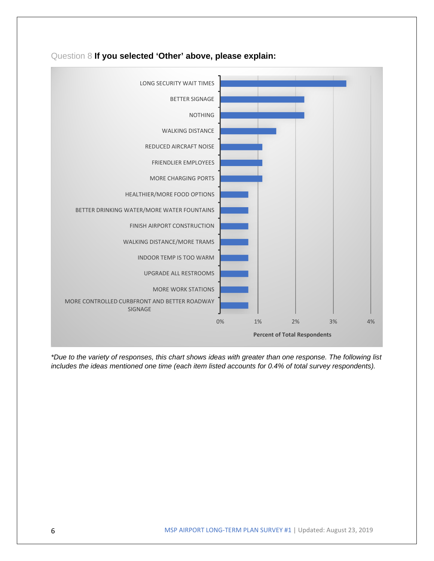

Question 8 **If you selected 'Other' above, please explain:**

*\*Due to the variety of responses, this chart shows ideas with greater than one response. The following list includes the ideas mentioned one time (each item listed accounts for 0.4% of total survey respondents).*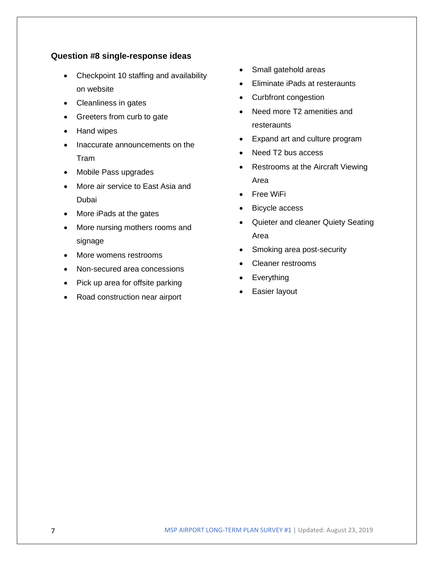### **Question #8 single-response ideas**

- Checkpoint 10 staffing and availability on website
- Cleanliness in gates
- Greeters from curb to gate
- Hand wipes
- Inaccurate announcements on the Tram
- Mobile Pass upgrades
- More air service to East Asia and Dubai
- More iPads at the gates
- More nursing mothers rooms and signage
- More womens restrooms
- Non-secured area concessions
- Pick up area for offsite parking
- Road construction near airport
- Small gatehold areas
- Eliminate iPads at resteraunts
- Curbfront congestion
- Need more T2 amenities and resteraunts
- Expand art and culture program
- Need T2 bus access
- Restrooms at the Aircraft Viewing Area
- Free WiFi
- Bicycle access
- Quieter and cleaner Quiety Seating Area
- Smoking area post-security
- Cleaner restrooms
- Everything
- Easier layout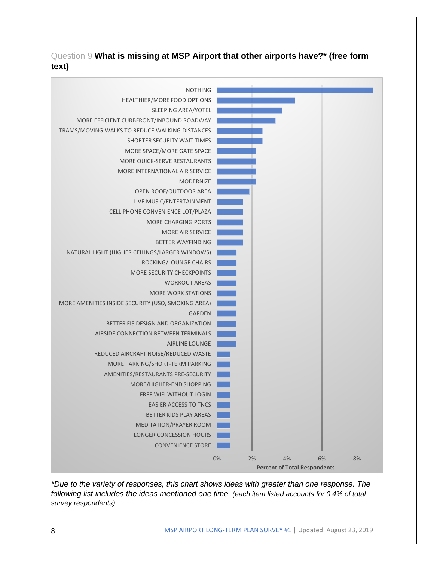# Question 9 **What is missing at MSP Airport that other airports have?\* (free form text)**



*\*Due to the variety of responses, this chart shows ideas with greater than one response. The following list includes the ideas mentioned one time (each item listed accounts for 0.4% of total survey respondents).*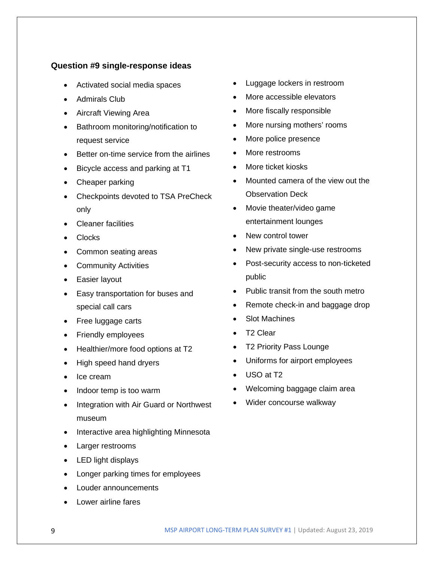### **Question #9 single-response ideas**

- Activated social media spaces
- Admirals Club
- Aircraft Viewing Area
- Bathroom monitoring/notification to request service
- Better on-time service from the airlines
- Bicycle access and parking at T1
- Cheaper parking
- Checkpoints devoted to TSA PreCheck only
- Cleaner facilities
- Clocks
- Common seating areas
- Community Activities
- Easier layout
- Easy transportation for buses and special call cars
- Free luggage carts
- Friendly employees
- Healthier/more food options at T2
- High speed hand dryers
- Ice cream
- Indoor temp is too warm
- Integration with Air Guard or Northwest museum
- Interactive area highlighting Minnesota
- Larger restrooms
- LED light displays
- Longer parking times for employees
- Louder announcements
- Lower airline fares
- Luggage lockers in restroom
- More accessible elevators
- More fiscally responsible
- More nursing mothers' rooms
- More police presence
- More restrooms
- More ticket kiosks
- Mounted camera of the view out the Observation Deck
- Movie theater/video game entertainment lounges
- New control tower
- New private single-use restrooms
- Post-security access to non-ticketed public
- Public transit from the south metro
- Remote check-in and baggage drop
- Slot Machines
- T2 Clear
- T2 Priority Pass Lounge
- Uniforms for airport employees
- USO at T2
- Welcoming baggage claim area
- Wider concourse walkway